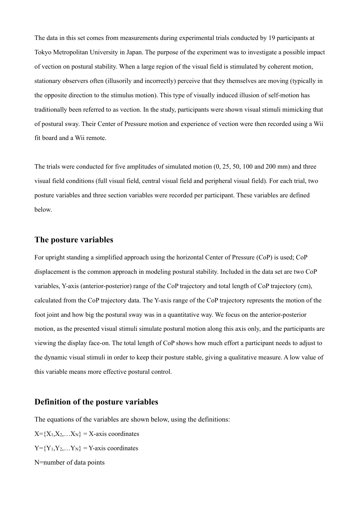The data in this set comes from measurements during experimental trials conducted by 19 participants at Tokyo Metropolitan University in Japan. The purpose of the experiment was to investigate a possible impact of vection on postural stability. When a large region of the visual field is stimulated by coherent motion, stationary observers often (illusorily and incorrectly) perceive that they themselves are moving (typically in the opposite direction to the stimulus motion). This type of visually induced illusion of self-motion has traditionally been referred to as vection. In the study, participants were shown visual stimuli mimicking that of postural sway. Their Center of Pressure motion and experience of vection were then recorded using a Wii fit board and a Wii remote.

The trials were conducted for five amplitudes of simulated motion (0, 25, 50, 100 and 200 mm) and three visual field conditions (full visual field, central visual field and peripheral visual field). For each trial, two posture variables and three section variables were recorded per participant. These variables are defined below.

# **The posture variables**

For upright standing a simplified approach using the horizontal Center of Pressure (CoP) is used; CoP displacement is the common approach in modeling postural stability. Included in the data set are two CoP variables, Y-axis (anterior-posterior) range of the CoP trajectory and total length of CoP trajectory (cm), calculated from the CoP trajectory data. The Y-axis range of the CoP trajectory represents the motion of the foot joint and how big the postural sway was in a quantitative way. We focus on the anterior-posterior motion, as the presented visual stimuli simulate postural motion along this axis only, and the participants are viewing the display face-on. The total length of CoP shows how much effort a participant needs to adjust to the dynamic visual stimuli in order to keep their posture stable, giving a qualitative measure. A low value of this variable means more effective postural control.

## **Definition of the posture variables**

The equations of the variables are shown below, using the definitions:

 $X = \{X_1, X_2, \ldots, X_N\} = X$ -axis coordinates  $Y = \{Y_1, Y_2, \ldots, Y_N\} = Y$ -axis coordinates N=number of data points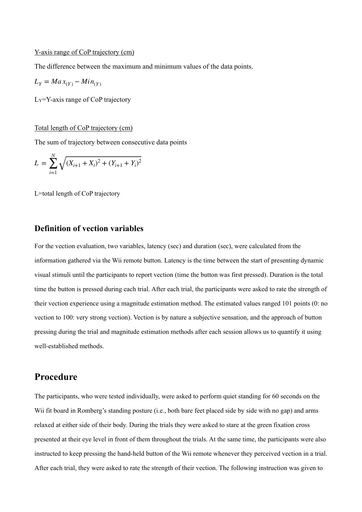### Y-axis range of CoP trajectory (cm)

The difference between the maximum and minimum values of the data points.

$$
L_Y = \operatorname{Max}_{(Y)} - \operatorname{Min}_{(Y)}
$$

LY=Y-axis range of CoP trajectory

#### Total length of CoP trajectory (cm)

The sum of trajectory between consecutive data points

$$
L = \sum_{i=1}^{N} \sqrt{(X_{i+1} + X_i)^2 + (Y_{i+1} + Y_i)^2}
$$

L=total length of CoP trajectory

# **Definition of vection variables**

For the vection evaluation, two variables, latency (sec) and duration (sec), were calculated from the information gathered via the Wii remote button. Latency is the time between the start of presenting dynamic visual stimuli until the participants to report vection (time the button was first pressed). Duration is the total time the button is pressed during each trial. After each trial, the participants were asked to rate the strength of their vection experience using a magnitude estimation method. The estimated values ranged 101 points (0: no vection to 100: very strong vection). Vection is by nature a subjective sensation, and the approach of button pressing during the trial and magnitude estimation methods after each session allows us to quantify it using well-established methods.

# **Procedure**

The participants, who were tested individually, were asked to perform quiet standing for 60 seconds on the Wii fit board in Romberg's standing posture (i.e., both bare feet placed side by side with no gap) and arms relaxed at either side of their body. During the trials they were asked to stare at the green fixation cross presented at their eye level in front of them throughout the trials. At the same time, the participants were also instructed to keep pressing the hand-held button of the Wii remote whenever they perceived vection in a trial. After each trial, they were asked to rate the strength of their vection. The following instruction was given to